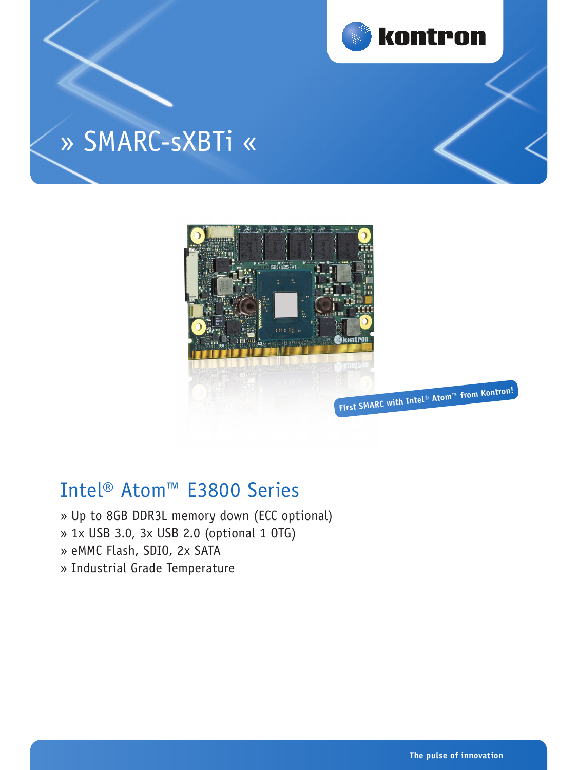

# » SMARC-sXBTi «



# Intel® Atom™ E3800 Series

- » Up to 8GB DDR3L memory down (ECC optional)
- » 1x USB 3.0, 3x USB 2.0 (optional 1 OTG)
- » eMMC Flash, SDIO, 2x SATA
- » Industrial Grade Temperature